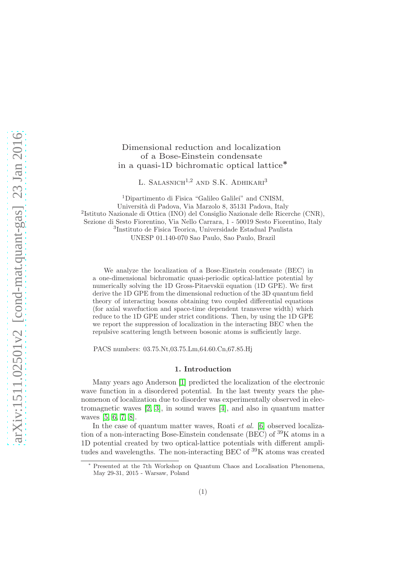# Dimensional reduction and localization of a Bose-Einstein condensate in a quasi-1D bichromatic optical lattice<sup>∗</sup>

L. SALASNICH<sup>1,2</sup> AND S.K. ADHIKARI<sup>3</sup>

<sup>1</sup>Dipartimento di Fisica "Galileo Galilei" and CNISM, Universit`a di Padova, Via Marzolo 8, 35131 Padova, Italy 2 Istituto Nazionale di Ottica (INO) del Consiglio Nazionale delle Ricerche (CNR), Sezione di Sesto Fiorentino, Via Nello Carrara, 1 - 50019 Sesto Fiorentino, Italy 3 Instituto de Fisica Teorica, Universidade Estadual Paulista UNESP 01.140-070 Sao Paulo, Sao Paulo, Brazil

We analyze the localization of a Bose-Einstein condensate (BEC) in a one-dimensional bichromatic quasi-periodic optical-lattice potential by numerically solving the 1D Gross-Pitaevskii equation (1D GPE). We first derive the 1D GPE from the dimensional reduction of the 3D quantum field theory of interacting bosons obtaining two coupled differential equations (for axial wavefuction and space-time dependent transverse width) which reduce to the 1D GPE under strict conditions. Then, by using the 1D GPE we report the suppression of localization in the interacting BEC when the repulsive scattering length between bosonic atoms is sufficiently large.

PACS numbers: 03.75.Nt,03.75.Lm,64.60.Cn,67.85.Hj

#### 1. Introduction

Many years ago Anderson [\[1\]](#page-8-0) predicted the localization of the electronic wave function in a disordered potential. In the last twenty years the phenomenon of localization due to disorder was experimentally observed in electromagnetic waves [\[2,](#page-8-1) [3\]](#page-8-2), in sound waves [\[4\]](#page-8-3), and also in quantum matter waves [\[5,](#page-8-4) [6,](#page-8-5) [7,](#page-8-6) [8\]](#page-8-7).

In the case of quantum matter waves, Roati *et al.* [\[6\]](#page-8-5) observed localization of a non-interacting Bose-Einstein condensate (BEC) of  ${}^{39}$ K atoms in a 1D potential created by two optical-lattice potentials with different amplitudes and wavelengths. The non-interacting BEC of <sup>39</sup>K atoms was created

Presented at the 7th Workshop on Quantum Chaos and Localisation Phenomena, May 29-31, 2015 - Warsaw, Poland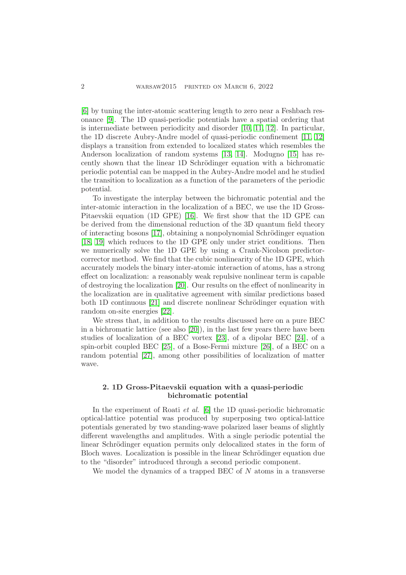[\[6\]](#page-8-5) by tuning the inter-atomic scattering length to zero near a Feshbach resonance [\[9\]](#page-8-8). The 1D quasi-periodic potentials have a spatial ordering that is intermediate between periodicity and disorder [\[10,](#page-8-9) [11,](#page-8-10) [12\]](#page-8-11). In particular, the 1D discrete Aubry-Andre model of quasi-periodic confinement [\[11,](#page-8-10) [12\]](#page-8-11) displays a transition from extended to localized states which resembles the Anderson localization of random systems [\[13,](#page-8-12) [14\]](#page-8-13). Modugno [\[15\]](#page-8-14) has recently shown that the linear 1D Schrödinger equation with a bichromatic periodic potential can be mapped in the Aubry-Andre model and he studied the transition to localization as a function of the parameters of the periodic potential.

To investigate the interplay between the bichromatic potential and the inter-atomic interaction in the localization of a BEC, we use the 1D Gross-Pitaevskii equation (1D GPE) [\[16\]](#page-8-15). We first show that the 1D GPE can be derived from the dimensional reduction of the 3D quantum field theory of interacting bosons  $[17]$ , obtaining a nonpolynomial Schrödinger equation [\[18,](#page-8-17) [19\]](#page-8-18) which reduces to the 1D GPE only under strict conditions. Then we numerically solve the 1D GPE by using a Crank-Nicolson predictorcorrector method. We find that the cubic nonlinearity of the 1D GPE, which accurately models the binary inter-atomic interaction of atoms, has a strong effect on localization: a reasonably weak repulsive nonlinear term is capable of destroying the localization [\[20\]](#page-8-19). Our results on the effect of nonlinearity in the localization are in qualitative agreement with similar predictions based both 1D continuous [\[21\]](#page-8-20) and discrete nonlinear Schrödinger equation with random on-site energies [\[22\]](#page-8-21).

We stress that, in addition to the results discussed here on a pure BEC in a bichromatic lattice (see also [\[20\]](#page-8-19)), in the last few years there have been studies of localization of a BEC vortex [\[23\]](#page-8-22), of a dipolar BEC [\[24\]](#page-8-23), of a spin-orbit coupled BEC [\[25\]](#page-8-24), of a Bose-Fermi mixture [\[26\]](#page-8-25), of a BEC on a random potential [\[27\]](#page-8-26), among other possibilities of localization of matter wave.

## 2. 1D Gross-Pitaevskii equation with a quasi-periodic bichromatic potential

In the experiment of Roati et al. [\[6\]](#page-8-5) the 1D quasi-periodic bichromatic optical-lattice potential was produced by superposing two optical-lattice potentials generated by two standing-wave polarized laser beams of slightly different wavelengths and amplitudes. With a single periodic potential the linear Schrödinger equation permits only delocalized states in the form of Bloch waves. Localization is possible in the linear Schrödinger equation due to the "disorder" introduced through a second periodic component.

We model the dynamics of a trapped BEC of N atoms in a transverse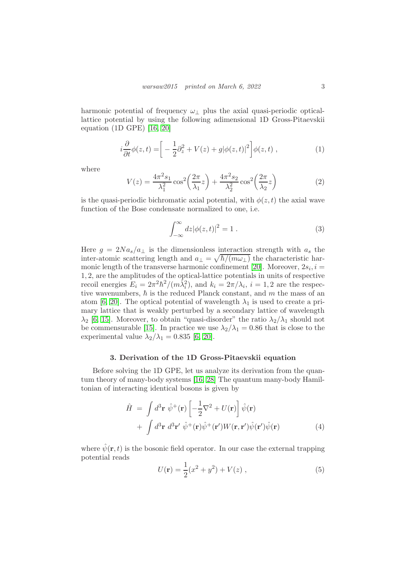harmonic potential of frequency  $\omega_{\perp}$  plus the axial quasi-periodic opticallattice potential by using the following adimensional 1D Gross-Pitaevskii equation (1D GPE) [\[16,](#page-8-15) [20\]](#page-8-19)

<span id="page-2-2"></span>
$$
i\frac{\partial}{\partial t}\phi(z,t) = \left[ -\frac{1}{2}\partial_z^2 + V(z) + g|\phi(z,t)|^2 \right] \phi(z,t) , \qquad (1)
$$

where

<span id="page-2-0"></span>
$$
V(z) = \frac{4\pi^2 s_1}{\lambda_1^2} \cos^2\left(\frac{2\pi}{\lambda_1} z\right) + \frac{4\pi^2 s_2}{\lambda_2^2} \cos^2\left(\frac{2\pi}{\lambda_2} z\right)
$$
 (2)

is the quasi-periodic bichromatic axial potential, with  $\phi(z, t)$  the axial wave function of the Bose condensate normalized to one, i.e.

$$
\int_{-\infty}^{\infty} dz |\phi(z, t)|^2 = 1.
$$
 (3)

Here  $g = 2Na_s/a_{\perp}$  is the dimensionless interaction strength with  $a_s$  the inter-atomic scattering length and  $a_{\perp} = \sqrt{\hbar/(m\omega_{\perp})}$  the characteristic har-monic length of the transverse harmonic confinement [\[20\]](#page-8-19). Moreover,  $2s_i$ ,  $i =$ 1, 2, are the amplitudes of the optical-lattice potentials in units of respective recoil energies  $E_i = 2\pi^2\hbar^2/(m\tilde{\lambda}_i^2)$ , and  $k_i = 2\pi/\lambda_i$ ,  $i = 1, 2$  are the respective wavenumbers,  $\hbar$  is the reduced Planck constant, and m the mass of an atom [\[6,](#page-8-5) [20\]](#page-8-19). The optical potential of wavelength  $\lambda_1$  is used to create a primary lattice that is weakly perturbed by a secondary lattice of wavelength  $\lambda_2$  [\[6,](#page-8-5) [15\]](#page-8-14). Moreover, to obtain "quasi-disorder" the ratio  $\lambda_2/\lambda_1$  should not be commensurable [\[15\]](#page-8-14). In practice we use  $\lambda_2/\lambda_1 = 0.86$  that is close to the experimental value  $\lambda_2/\lambda_1 = 0.835$  [\[6,](#page-8-5) [20\]](#page-8-19).

#### 3. Derivation of the 1D Gross-Pitaevskii equation

Before solving the 1D GPE, let us analyze its derivation from the quantum theory of many-body systems [\[16,](#page-8-15) [28\]](#page-9-0) The quantum many-body Hamiltonian of interacting identical bosons is given by

$$
\hat{H} = \int d^3 \mathbf{r} \; \hat{\psi}^+(\mathbf{r}) \left[ -\frac{1}{2} \nabla^2 + U(\mathbf{r}) \right] \hat{\psi}(\mathbf{r}) \n+ \int d^3 \mathbf{r} \; d^3 \mathbf{r}' \; \hat{\psi}^+(\mathbf{r}) \hat{\psi}^+(\mathbf{r}') W(\mathbf{r}, \mathbf{r}') \hat{\psi}(\mathbf{r}') \hat{\psi}(\mathbf{r})
$$
\n(4)

where  $\hat{\psi}(\mathbf{r},t)$  is the bosonic field operator. In our case the external trapping potential reads

<span id="page-2-1"></span>
$$
U(\mathbf{r}) = \frac{1}{2}(x^2 + y^2) + V(z) , \qquad (5)
$$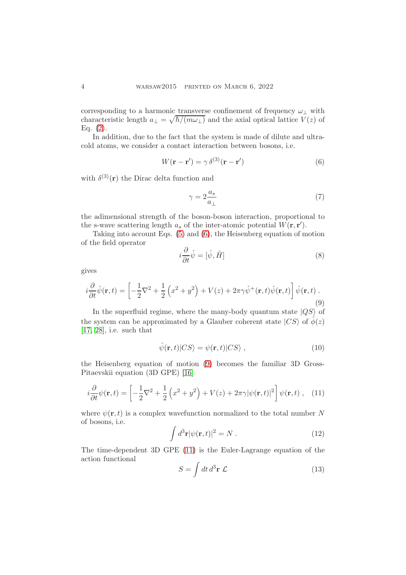corresponding to a harmonic transverse confinement of frequency  $\omega_+$  with characteristic length  $a_{\perp} = \sqrt{\hbar/(m\omega_{\perp})}$  and the axial optical lattice  $V(z)$  of Eq.  $(2)$ .

In addition, due to the fact that the system is made of dilute and ultracold atoms, we consider a contact interaction between bosons, i.e.

<span id="page-3-0"></span>
$$
W(\mathbf{r} - \mathbf{r}') = \gamma \,\delta^{(3)}(\mathbf{r} - \mathbf{r}')
$$
 (6)

with  $\delta^{(3)}(\mathbf{r})$  the Dirac delta function and

$$
\gamma = 2 \frac{a_s}{a_\perp} \tag{7}
$$

the adimensional strength of the boson-boson interaction, proportional to the s-wave scattering length  $a_s$  of the inter-atomic potential  $\hat{W}(\mathbf{r}, \mathbf{r}')$ .

Taking into account Eqs. [\(5\)](#page-2-1) and [\(6\)](#page-3-0), the Heisenberg equation of motion of the field operator

$$
i\frac{\partial}{\partial t}\hat{\psi} = [\hat{\psi}, \hat{H}]
$$
\n(8)

gives

<span id="page-3-1"></span>
$$
i\frac{\partial}{\partial t}\hat{\psi}(\mathbf{r},t) = \left[ -\frac{1}{2}\nabla^2 + \frac{1}{2}\left(x^2 + y^2\right) + V(z) + 2\pi\gamma\hat{\psi}^+(\mathbf{r},t)\hat{\psi}(\mathbf{r},t) \right] \hat{\psi}(\mathbf{r},t) \tag{9}
$$

In the superfluid regime, where the many-body quantum state  $|QS\rangle$  of the system can be approximated by a Glauber coherent state  $|CS\rangle$  of  $\phi(z)$ [\[17,](#page-8-16) [28\]](#page-9-0), i.e. such that

$$
\hat{\psi}(\mathbf{r},t)|CS\rangle = \psi(\mathbf{r},t)|CS\rangle ,\qquad (10)
$$

the Heisenberg equation of motion [\(9\)](#page-3-1) becomes the familiar 3D Gross-Pitaevskii equation (3D GPE) [\[16\]](#page-8-15)

<span id="page-3-2"></span>
$$
i\frac{\partial}{\partial t}\psi(\mathbf{r},t) = \left[-\frac{1}{2}\nabla^2 + \frac{1}{2}\left(x^2 + y^2\right) + V(z) + 2\pi\gamma|\psi(\mathbf{r},t)|^2\right]\psi(\mathbf{r},t), \quad (11)
$$

where  $\psi(\mathbf{r},t)$  is a complex wavefunction normalized to the total number N of bosons, i.e.

$$
\int d^3 \mathbf{r} |\psi(\mathbf{r}, t)|^2 = N . \qquad (12)
$$

The time-dependent 3D GPE [\(11\)](#page-3-2) is the Euler-Lagrange equation of the action functional

$$
S = \int dt \, d^3 \mathbf{r} \, \mathcal{L} \tag{13}
$$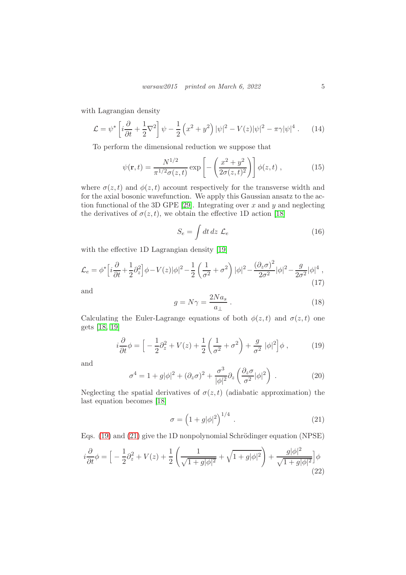with Lagrangian density

$$
\mathcal{L} = \psi^* \left[ i \frac{\partial}{\partial t} + \frac{1}{2} \nabla^2 \right] \psi - \frac{1}{2} \left( x^2 + y^2 \right) |\psi|^2 - V(z) |\psi|^2 - \pi \gamma |\psi|^4 \,. \tag{14}
$$

To perform the dimensional reduction we suppose that

$$
\psi(\mathbf{r},t) = \frac{N^{1/2}}{\pi^{1/2}\sigma(z,t)} \exp\left[-\left(\frac{x^2 + y^2}{2\sigma(z,t)^2}\right)\right] \phi(z,t) ,\qquad (15)
$$

where  $\sigma(z, t)$  and  $\phi(z, t)$  account respectively for the transverse width and for the axial bosonic wavefunction. We apply this Gaussian ansatz to the ac-tion functional of the 3D GPE [\[29\]](#page-9-1). Integrating over  $x$  and  $y$  and neglecting the derivatives of  $\sigma(z, t)$ , we obtain the effective 1D action [\[18\]](#page-8-17)

$$
S_e = \int dt \, dz \, \mathcal{L}_e \tag{16}
$$

with the effective 1D Lagrangian density [\[19\]](#page-8-18)

$$
\mathcal{L}_e = \phi^* \Big[ i \frac{\partial}{\partial t} + \frac{1}{2} \partial_z^2 \Big] \phi - V(z) |\phi|^2 - \frac{1}{2} \left( \frac{1}{\sigma^2} + \sigma^2 \right) |\phi|^2 - \frac{(\partial_z \sigma)^2}{2\sigma^2} |\phi|^2 - \frac{g}{2\sigma^2} |\phi|^4 , \tag{17}
$$

and

$$
g = N\gamma = \frac{2Na_s}{a_\perp} \,. \tag{18}
$$

Calculating the Euler-Lagrange equations of both  $\phi(z,t)$  and  $\sigma(z,t)$  one gets [\[18,](#page-8-17) [19\]](#page-8-18)

<span id="page-4-0"></span>
$$
i\frac{\partial}{\partial t}\phi = \left[ -\frac{1}{2}\partial_z^2 + V(z) + \frac{1}{2}\left(\frac{1}{\sigma^2} + \sigma^2\right) + \frac{g}{\sigma^2}|\phi|^2 \right] \phi ,\qquad (19)
$$

and

$$
\sigma^4 = 1 + g|\phi|^2 + (\partial_z \sigma)^2 + \frac{\sigma^3}{|\phi|^2} \partial_z \left(\frac{\partial_z \sigma}{\sigma^2} |\phi|^2\right) . \tag{20}
$$

Neglecting the spatial derivatives of  $\sigma(z,t)$  (adiabatic approximation) the last equation becomes [\[18\]](#page-8-17)

<span id="page-4-1"></span>
$$
\sigma = \left(1 + g|\phi|^2\right)^{1/4} . \tag{21}
$$

Eqs. [\(19\)](#page-4-0) and [\(21\)](#page-4-1) give the 1D nonpolynomial Schrödinger equation (NPSE)

<span id="page-4-2"></span>
$$
i\frac{\partial}{\partial t}\phi = \left[ -\frac{1}{2}\partial_z^2 + V(z) + \frac{1}{2}\left(\frac{1}{\sqrt{1+g|\phi|^2}} + \sqrt{1+g|\phi|^2}\right) + \frac{g|\phi|^2}{\sqrt{1+g|\phi|^2}} \right] \phi \tag{22}
$$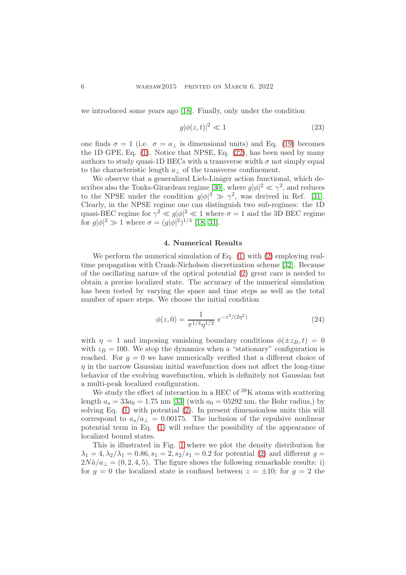we introduced some years ago [\[18\]](#page-8-17). Finally, only under the condition

$$
g|\phi(z,t)|^2 \ll 1\tag{23}
$$

one finds  $\sigma = 1$  (i.e.  $\sigma = a_{\perp}$  is dimensional units) and Eq. [\(19\)](#page-4-0) becomes the 1D GPE, Eq. [\(1\)](#page-2-2). Notice that NPSE, Eq. [\(22\)](#page-4-2), has been used by many authors to study quasi-1D BECs with a transverse width  $\sigma$  not simply equal to the characteristic length  $a_{\perp}$  of the transverse confinement.

We observe that a generalized Lieb-Liniger action functional, which de-scribes also the Tonks-Girardeau regime [\[30\]](#page-9-2), where  $g|\phi|^2 \ll \gamma^2$ , and reduces to the NPSE under the condition  $g|\phi|^2 \gg \gamma^2$ , was derived in Ref. [\[31\]](#page-9-3). Clearly, in the NPSE regime one can distinguish two sub-regimes: the 1D quasi-BEC regime for  $\gamma^2 \ll g |\phi|^2 \ll 1$  where  $\sigma = 1$  and the 3D BEC regime for  $g|\phi|^2 \gg 1$  where  $\sigma = (g|\phi|^2)^{1/4}$  [\[18,](#page-8-17) [31\]](#page-9-3).

#### 4. Numerical Results

We perform the numerical simulation of Eq.  $(1)$  with  $(2)$  employing realtime propagation with Crank-Nicholson discretization scheme [\[32\]](#page-9-4). Because of the oscillating nature of the optical potential [\(2\)](#page-2-0) great care is needed to obtain a precise localized state. The accuracy of the numerical simulation has been tested by varying the space and time steps as well as the total number of space steps. We choose the initial condition

$$
\phi(z,0) = \frac{1}{\pi^{1/4}\eta^{1/2}} e^{-z^2/(2\eta^2)}
$$
\n(24)

with  $\eta = 1$  and imposing vanishing boundary conditions  $\phi(\pm z_B, t) = 0$ with  $z_B = 100$ . We stop the dynamics when a "stationary" configuration is reached. For  $g = 0$  we have numerically verified that a different choice of  $\eta$  in the narrow Gaussian initial wavefunction does not affect the long-time behavior of the evolving wavefunction, which is definitely not Gaussian but a multi-peak localized configuration.

We study the effect of interaction in a BEC of <sup>39</sup>K atoms with scattering length  $a_s = 33a_0 = 1.75$  nm [\[33\]](#page-9-5) (with  $a_0 = 0.5292$  nm, the Bohr radius,) by solving Eq. [\(1\)](#page-2-2) with potential [\(2\)](#page-2-0). In present dimensionless units this will correspond to  $a_s/a_{\perp} = 0.00175$ . The inclusion of the repulsive nonlinear potential term in Eq. [\(1\)](#page-2-2) will reduce the possibility of the appearance of localized bound states.

This is illustrated in Fig. [1](#page-6-0) where we plot the density distribution for  $\lambda_1 = 4, \lambda_2/\lambda_1 = 0.86, s_1 = 2, s_2/s_1 = 0.2$  for potential [\(2\)](#page-2-0) and different  $g =$  $2N\hat{a}/a_{\perp} = (0, 2, 4, 5)$ . The figure shows the following remarkable results: i) for  $g = 0$  the localized state is confined between  $z = \pm 10$ ; for  $g = 2$  the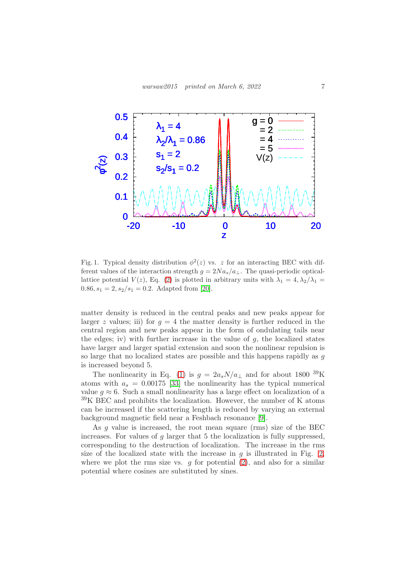

<span id="page-6-0"></span>Fig. 1. Typical density distribution  $\phi^2(z)$  vs. z for an interacting BEC with different values of the interaction strength  $g = 2Na_s/a_{\perp}$ . The quasi-periodic opticallattice potential  $V(z)$ , Eq. [\(2\)](#page-2-0) is plotted in arbitrary units with  $\lambda_1 = 4, \lambda_2/\lambda_1 =$  $0.86, s_1 = 2, s_2/s_1 = 0.2.$  Adapted from [\[20\]](#page-8-19).

matter density is reduced in the central peaks and new peaks appear for larger z values; iii) for  $g = 4$  the matter density is further reduced in the central region and new peaks appear in the form of ondulating tails near the edges; iv) with further increase in the value of  $g$ , the localized states have larger and larger spatial extension and soon the nonlinear repulsion is so large that no localized states are possible and this happens rapidly as g is increased beyond 5.

The nonlinearity in Eq. [\(1\)](#page-2-2) is  $g = 2a_s N/a_\perp$  and for about 1800 <sup>39</sup>K atoms with  $a_s = 0.00175$  [\[33\]](#page-9-5) the nonlinearity has the typical numerical value  $g \approx 6$ . Such a small nonlinearity has a large effect on localization of a  $39K$  BEC and prohibits the localization. However, the number of K atoms can be increased if the scattering length is reduced by varying an external background magnetic field near a Feshbach resonance [\[9\]](#page-8-8).

As g value is increased, the root mean square (rms) size of the BEC increases. For values of  $g$  larger that 5 the localization is fully suppressed, corresponding to the destruction of localization. The increase in the rms size of the localized state with the increase in  $q$  is illustrated in Fig. [2,](#page-7-0) where we plot the rms size vs.  $q$  for potential  $(2)$ , and also for a similar potential where cosines are substituted by sines.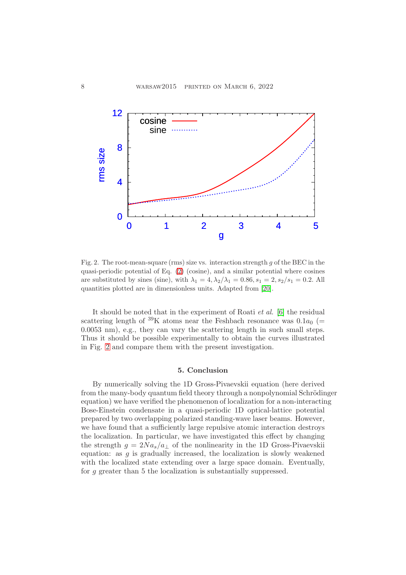

<span id="page-7-0"></span>Fig. 2. The root-mean-square (rms) size vs. interaction strength g of the BEC in the quasi-periodic potential of Eq. [\(2\)](#page-2-0) (cosine), and a similar potential where cosines are substituted by sines (sine), with  $\lambda_1 = 4, \lambda_2/\lambda_1 = 0.86, s_1 = 2, s_2/s_1 = 0.2$ . All quantities plotted are in dimensionless units. Adapted from [\[20\]](#page-8-19).

It should be noted that in the experiment of Roati et al. [\[6\]](#page-8-5) the residual scattering length of <sup>39</sup>K atoms near the Feshbach resonance was  $0.1a_0$  (= 0.0053 nm), e.g., they can vary the scattering length in such small steps. Thus it should be possible experimentally to obtain the curves illustrated in Fig. [2](#page-7-0) and compare them with the present investigation.

### 5. Conclusion

By numerically solving the 1D Gross-Pivaevskii equation (here derived from the many-body quantum field theory through a nonpolynomial Schrödinger equation) we have verified the phenomenon of localization for a non-interacting Bose-Einstein condensate in a quasi-periodic 1D optical-lattice potential prepared by two overlapping polarized standing-wave laser beams. However, we have found that a sufficiently large repulsive atomic interaction destroys the localization. In particular, we have investigated this effect by changing the strength  $g = 2Na_s/a_{\perp}$  of the nonlinearity in the 1D Gross-Pivaevskii equation: as q is gradually increased, the localization is slowly weakened with the localized state extending over a large space domain. Eventually, for g greater than 5 the localization is substantially suppressed.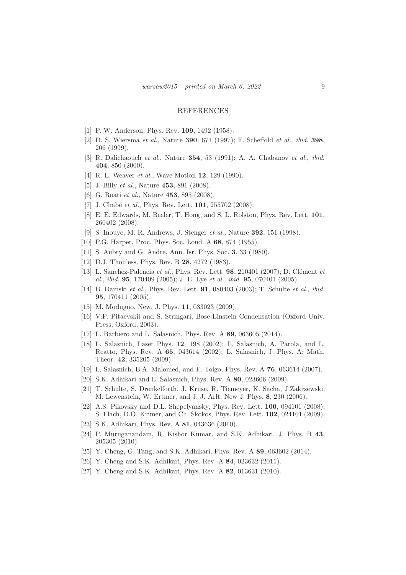#### REFERENCES

- <span id="page-8-1"></span><span id="page-8-0"></span>[1] P. W. Anderson, Phys. Rev. **109**, 1492 (1958).
- [2] D. S. Wiersma et al., Nature 390, 671 (1997); F. Scheffold et al., ibid. 398, 206 (1999).
- <span id="page-8-2"></span>[3] R. Dalichaouch et al., Nature 354, 53 (1991); A. A. Chabanov et al., ibid. 404, 850 (2000).
- <span id="page-8-4"></span><span id="page-8-3"></span>[4] R. L. Weaver *et al.*, Wave Motion **12**, 129 (1990).
- <span id="page-8-5"></span>[5] J. Billy *et al.*, Nature **453**, 891 (2008).
- <span id="page-8-6"></span>[6] G. Roati *et al.*, Nature **453**, 895 (2008).
- <span id="page-8-7"></span>[7] J. Chabé et al., Phys. Rev. Lett. **101**, 255702 (2008).
- [8] E. E. Edwards, M. Beeler, T. Hong, and S. L. Rolston, Phys. Rev. Lett. 101, 260402 (2008).
- <span id="page-8-9"></span><span id="page-8-8"></span>[9] S. Inouye, M. R. Andrews, J. Stenger et al., Nature 392, 151 (1998).
- <span id="page-8-10"></span>[10] P.G. Harper, Proc. Phys. Soc. Lond. A 68, 874 (1955).
- <span id="page-8-11"></span>[11] S. Aubry and G. Andre, Ann. Isr. Phys. Soc. 3, 33 (1980).
- <span id="page-8-12"></span>[12] D.J. Thouless, Phys. Rev. B **28**, 4272 (1983).
- [13] L. Sanchez-Palencia et al., Phys. Rev. Lett.  $98$ , 210401 (2007); D. Clément et al., ibid. 95, 170409 (2005); J. E. Lye et al., ibid. 95, 070401 (2005).
- <span id="page-8-13"></span>[14] B. Damski et al., Phys. Rev. Lett. **91**, 080403 (2003); T. Schulte et al., *ibid.* 95, 170411 (2005).
- <span id="page-8-15"></span><span id="page-8-14"></span>[15] M. Modugno, New. J. Phys. **11**, 033023 (2009).
- [16] V.P. Pitaevskii and S. Stringari, Bose-Einstein Condensation (Oxford Univ. Press, Oxford, 2003).
- <span id="page-8-17"></span><span id="page-8-16"></span>[17] L. Barbiero and L. Salasnich, Phys. Rev. A 89, 063605 (2014).
- [18] L. Salasnich, Laser Phys. 12, 198 (2002); L. Salasnich, A. Parola, and L. Reatto, Phys. Rev. A 65, 043614 (2002); L. Salasnich, J. Phys. A: Math. Theor. 42, 335205 (2009).
- <span id="page-8-19"></span><span id="page-8-18"></span>[19] L. Salasnich, B.A. Malomed, and F. Toigo, Phys. Rev. A 76, 063614 (2007).
- <span id="page-8-20"></span>[20] S.K. Adhikari and L. Salasnich, Phys. Rev. A 80, 023606 (2009).
- [21] T. Schulte, S. Drenkelforth, J. Kruse, R. Tiemeyer, K. Sacha, J.Zakrzewski, M. Lewenstein, W. Ertmer, and J. J. Arlt, New J. Phys. 8, 230 (2006).
- <span id="page-8-21"></span>[22] A.S. Pikovsky and D.L. Shepelyansky, Phys. Rev. Lett. **100**, 094101 (2008); S. Flach, D.O. Krimer, and Ch. Skokos, Phys. Rev. Lett. 102, 024101 (2009).
- <span id="page-8-23"></span><span id="page-8-22"></span>[23] S.K. Adhikari, Phys. Rev. A 81, 043636 (2010).
- [24] P. Muruganandam, R. Kishor Kumar, and S.K. Adhikari, J. Phys. B 43, 205305 (2010).
- <span id="page-8-25"></span><span id="page-8-24"></span>[25] Y. Cheng, G. Tang, and S.K. Adhikari, Phys. Rev. A 89, 063602 (2014).
- <span id="page-8-26"></span>[26] Y. Cheng and S.K. Adhikari, Phys. Rev. A **84**, 023632 (2011).
- [27] Y. Cheng and S.K. Adhikari, Phys. Rev. A **82**, 013631 (2010).